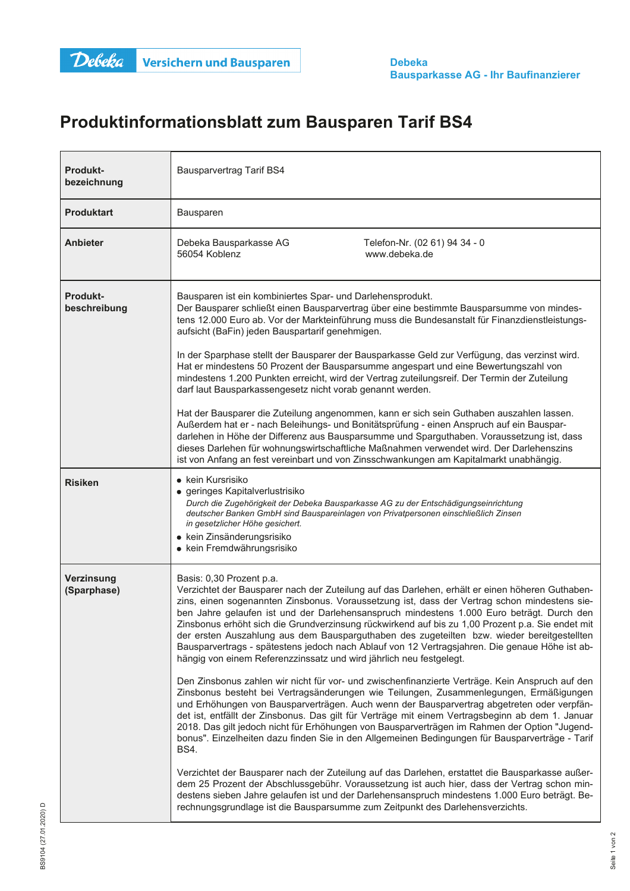## Produktinformationsblatt zum Bausparen Tarif BS4

| <b>Produkt-</b><br>bezeichnung  | <b>Bausparvertrag Tarif BS4</b>                                                                                                                                                                                                                                                                                                                                                                                                                                                                                                                                                                                                                                                                     |                                                                                                                                                                                                                                                                                                                                                                                                                                                                                                                                                                                                 |
|---------------------------------|-----------------------------------------------------------------------------------------------------------------------------------------------------------------------------------------------------------------------------------------------------------------------------------------------------------------------------------------------------------------------------------------------------------------------------------------------------------------------------------------------------------------------------------------------------------------------------------------------------------------------------------------------------------------------------------------------------|-------------------------------------------------------------------------------------------------------------------------------------------------------------------------------------------------------------------------------------------------------------------------------------------------------------------------------------------------------------------------------------------------------------------------------------------------------------------------------------------------------------------------------------------------------------------------------------------------|
| <b>Produktart</b>               | Bausparen                                                                                                                                                                                                                                                                                                                                                                                                                                                                                                                                                                                                                                                                                           |                                                                                                                                                                                                                                                                                                                                                                                                                                                                                                                                                                                                 |
| <b>Anbieter</b>                 | Debeka Bausparkasse AG<br>56054 Koblenz                                                                                                                                                                                                                                                                                                                                                                                                                                                                                                                                                                                                                                                             | Telefon-Nr. (02 61) 94 34 - 0<br>www.debeka.de                                                                                                                                                                                                                                                                                                                                                                                                                                                                                                                                                  |
| <b>Produkt-</b><br>beschreibung | Bausparen ist ein kombiniertes Spar- und Darlehensprodukt.<br>Der Bausparer schließt einen Bausparvertrag über eine bestimmte Bausparsumme von mindes-<br>tens 12.000 Euro ab. Vor der Markteinführung muss die Bundesanstalt für Finanzdienstleistungs-<br>aufsicht (BaFin) jeden Bauspartarif genehmigen.                                                                                                                                                                                                                                                                                                                                                                                         |                                                                                                                                                                                                                                                                                                                                                                                                                                                                                                                                                                                                 |
|                                 | In der Sparphase stellt der Bausparer der Bausparkasse Geld zur Verfügung, das verzinst wird.<br>Hat er mindestens 50 Prozent der Bausparsumme angespart und eine Bewertungszahl von<br>mindestens 1.200 Punkten erreicht, wird der Vertrag zuteilungsreif. Der Termin der Zuteilung<br>darf laut Bausparkassengesetz nicht vorab genannt werden.                                                                                                                                                                                                                                                                                                                                                   |                                                                                                                                                                                                                                                                                                                                                                                                                                                                                                                                                                                                 |
|                                 | Hat der Bausparer die Zuteilung angenommen, kann er sich sein Guthaben auszahlen lassen.<br>Außerdem hat er - nach Beleihungs- und Bonitätsprüfung - einen Anspruch auf ein Bauspar-<br>darlehen in Höhe der Differenz aus Bausparsumme und Sparguthaben. Voraussetzung ist, dass<br>dieses Darlehen für wohnungswirtschaftliche Maßnahmen verwendet wird. Der Darlehenszins<br>ist von Anfang an fest vereinbart und von Zinsschwankungen am Kapitalmarkt unabhängig.                                                                                                                                                                                                                              |                                                                                                                                                                                                                                                                                                                                                                                                                                                                                                                                                                                                 |
| <b>Risiken</b>                  | • kein Kursrisiko<br>· geringes Kapitalverlustrisiko<br>Durch die Zugehörigkeit der Debeka Bausparkasse AG zu der Entschädigungseinrichtung<br>deutscher Banken GmbH sind Bauspareinlagen von Privatpersonen einschließlich Zinsen<br>in gesetzlicher Höhe gesichert.<br>• kein Zinsänderungsrisiko<br>• kein Fremdwährungsrisiko                                                                                                                                                                                                                                                                                                                                                                   |                                                                                                                                                                                                                                                                                                                                                                                                                                                                                                                                                                                                 |
| Verzinsung<br>(Sparphase)       | Basis: 0,30 Prozent p.a.<br>Verzichtet der Bausparer nach der Zuteilung auf das Darlehen, erhält er einen höheren Guthaben-<br>zins, einen sogenannten Zinsbonus. Voraussetzung ist, dass der Vertrag schon mindestens sie-<br>ben Jahre gelaufen ist und der Darlehensanspruch mindestens 1.000 Euro beträgt. Durch den<br>Zinsbonus erhöht sich die Grundverzinsung rückwirkend auf bis zu 1,00 Prozent p.a. Sie endet mit<br>der ersten Auszahlung aus dem Bausparguthaben des zugeteilten bzw. wieder bereitgestellten<br>Bausparvertrags - spätestens jedoch nach Ablauf von 12 Vertragsjahren. Die genaue Höhe ist ab-<br>hängig von einem Referenzzinssatz und wird jährlich neu festgelegt. |                                                                                                                                                                                                                                                                                                                                                                                                                                                                                                                                                                                                 |
|                                 | <b>BS4.</b>                                                                                                                                                                                                                                                                                                                                                                                                                                                                                                                                                                                                                                                                                         | Den Zinsbonus zahlen wir nicht für vor- und zwischenfinanzierte Verträge. Kein Anspruch auf den<br>Zinsbonus besteht bei Vertragsänderungen wie Teilungen, Zusammenlegungen, Ermäßigungen<br>und Erhöhungen von Bausparverträgen. Auch wenn der Bausparvertrag abgetreten oder verpfän-<br>det ist, entfällt der Zinsbonus. Das gilt für Verträge mit einem Vertragsbeginn ab dem 1. Januar<br>2018. Das gilt jedoch nicht für Erhöhungen von Bausparverträgen im Rahmen der Option "Jugend-<br>bonus". Einzelheiten dazu finden Sie in den Allgemeinen Bedingungen für Bausparverträge - Tarif |
|                                 | Verzichtet der Bausparer nach der Zuteilung auf das Darlehen, erstattet die Bausparkasse außer-<br>dem 25 Prozent der Abschlussgebühr. Voraussetzung ist auch hier, dass der Vertrag schon min-<br>destens sieben Jahre gelaufen ist und der Darlehensanspruch mindestens 1.000 Euro beträgt. Be-<br>rechnungsgrundlage ist die Bausparsumme zum Zeitpunkt des Darlehensverzichts.                                                                                                                                                                                                                                                                                                                  |                                                                                                                                                                                                                                                                                                                                                                                                                                                                                                                                                                                                 |